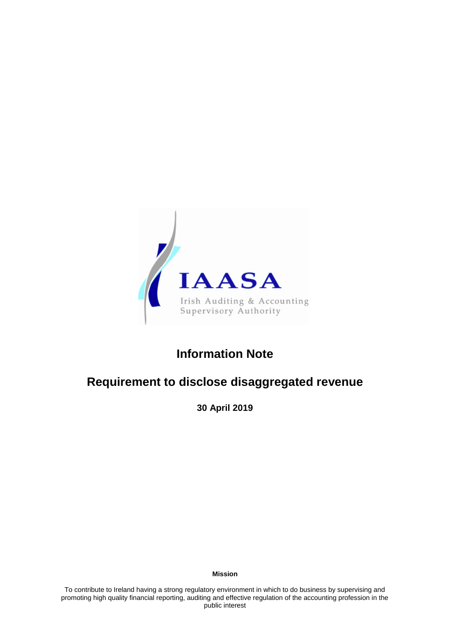

# **Information Note**

## **Requirement to disclose disaggregated revenue**

**30 April 2019**

**Mission**

To contribute to Ireland having a strong regulatory environment in which to do business by supervising and promoting high quality financial reporting, auditing and effective regulation of the accounting profession in the public interest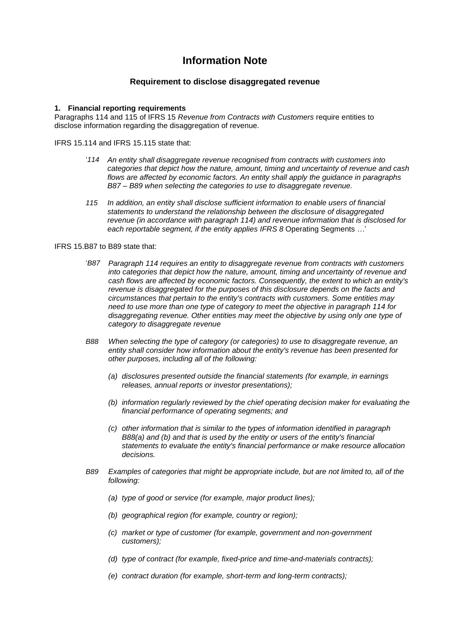### **Information Note**

### **Requirement to disclose disaggregated revenue**

#### **1. Financial reporting requirements**

Paragraphs 114 and 115 of IFRS 15 *Revenue from Contracts with Customers* require entities to disclose information regarding the disaggregation of revenue.

IFRS 15.114 and IFRS 15.115 state that:

- '*114 An entity shall disaggregate revenue recognised from contracts with customers into categories that depict how the nature, amount, timing and uncertainty of revenue and cash flows are affected by economic factors. An entity shall apply the guidance in paragraphs B87 – B89 when selecting the categories to use to disaggregate revenue.*
- *115 In addition, an entity shall disclose sufficient information to enable users of financial statements to understand the relationship between the disclosure of disaggregated revenue (in accordance with [paragraph 114\)](https://www.charteredaccountants.ie/chariot/text/print/ifrs15.html#ifrs15_pr114) and revenue information that is disclosed for each reportable segment, if the entity applies IFRS 8* Operating Segments *…*'

#### IFRS 15.B87 to B89 state that:

- '*B87 Paragraph 114 requires an entity to disaggregate revenue from contracts with customers into categories that depict how the nature, amount, timing and uncertainty of revenue and cash flows are affected by economic factors. Consequently, the extent to which an entity's revenue is disaggregated for the purposes of this disclosure depends on the facts and circumstances that pertain to the entity's contracts with customers. Some entities may need to use more than one type of category to meet the objective in paragraph 114 for disaggregating revenue. Other entities may meet the objective by using only one type of category to disaggregate revenue*
- *B88 When selecting the type of category (or categories) to use to disaggregate revenue, an entity shall consider how information about the entity's revenue has been presented for other purposes, including all of the following:* 
	- *(a) disclosures presented outside the financial statements (for example, in earnings releases, annual reports or investor presentations);*
	- *(b) information regularly reviewed by the chief operating decision maker for evaluating the financial performance of operating segments; and*
	- *(c) other information that is similar to the types of information identified in paragraph B88(a) and (b) and that is used by the entity or users of the entity's financial statements to evaluate the entity's financial performance or make resource allocation decisions.*
- *B89 Examples of categories that might be appropriate include, but are not limited to, all of the following:* 
	- *(a) type of good or service (for example, major product lines);*
	- *(b) geographical region (for example, country or region);*
	- *(c) market or type of customer (for example, government and non-government customers);*
	- *(d) type of contract (for example, fixed-price and time-and-materials contracts);*
	- *(e) contract duration (for example, short-term and long-term contracts);*